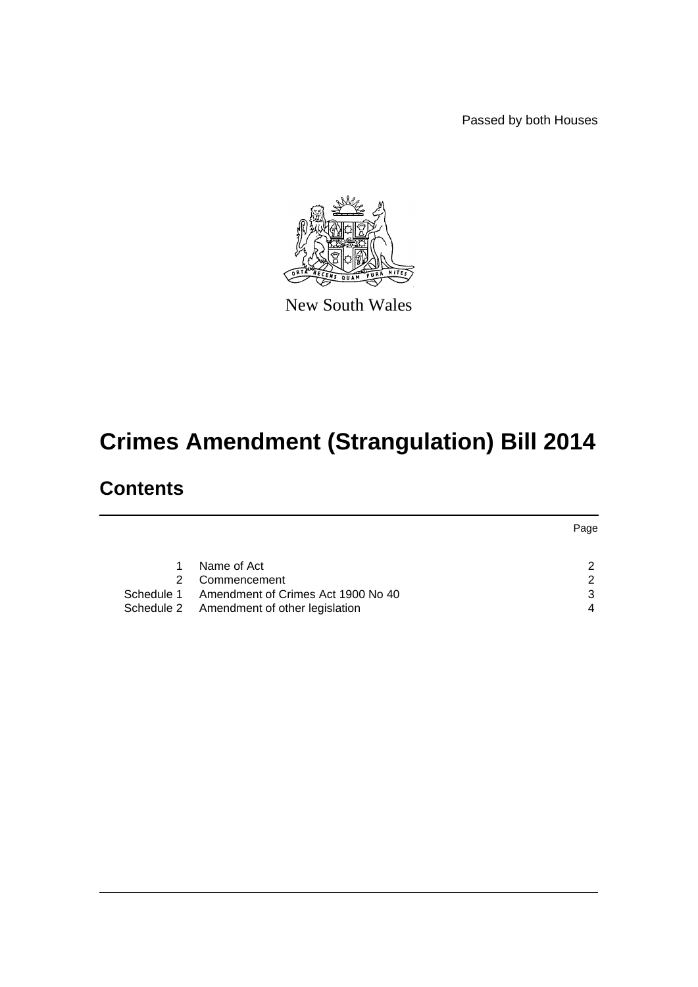Passed by both Houses



New South Wales

# **Crimes Amendment (Strangulation) Bill 2014**

# **Contents**

|    |                                               | Page |
|----|-----------------------------------------------|------|
|    |                                               |      |
| 1. | Name of Act                                   |      |
| 2  | Commencement                                  | ◠    |
|    | Schedule 1 Amendment of Crimes Act 1900 No 40 |      |
|    | Schedule 2 Amendment of other legislation     |      |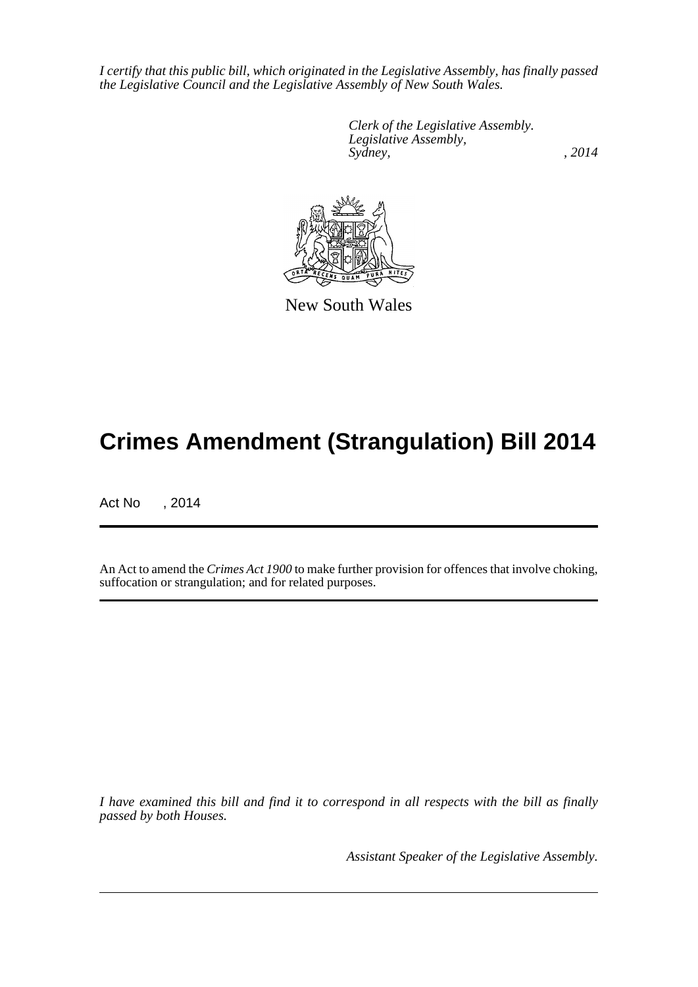*I certify that this public bill, which originated in the Legislative Assembly, has finally passed the Legislative Council and the Legislative Assembly of New South Wales.*

> *Clerk of the Legislative Assembly. Legislative Assembly, Sydney,* , 2014



New South Wales

# **Crimes Amendment (Strangulation) Bill 2014**

Act No , 2014

An Act to amend the *Crimes Act 1900* to make further provision for offences that involve choking, suffocation or strangulation; and for related purposes.

*I have examined this bill and find it to correspond in all respects with the bill as finally passed by both Houses.*

*Assistant Speaker of the Legislative Assembly.*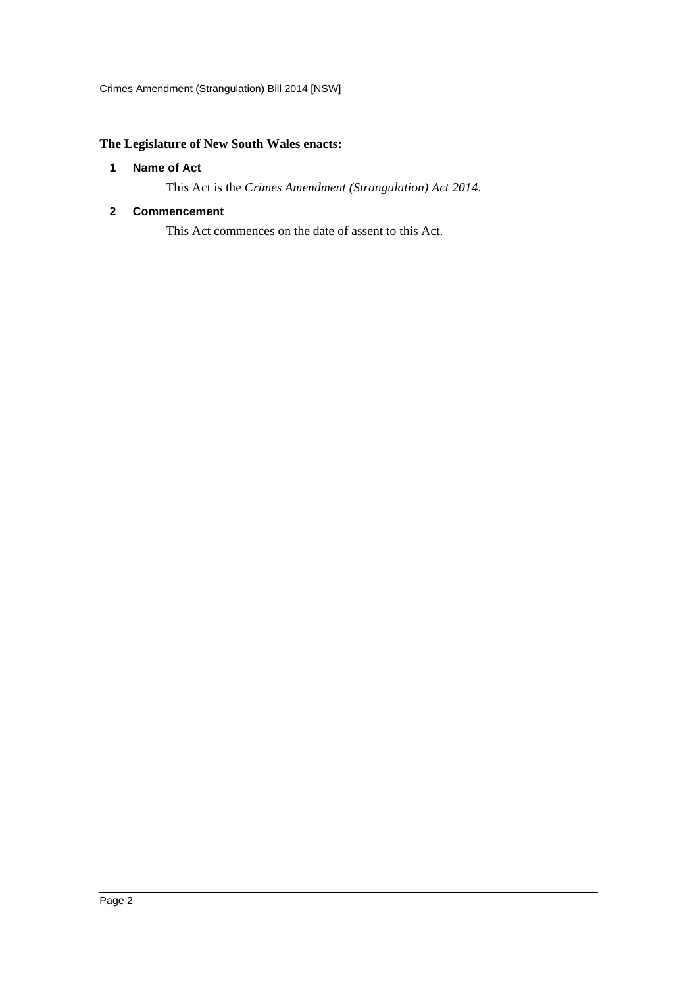## <span id="page-2-0"></span>**The Legislature of New South Wales enacts:**

#### **1 Name of Act**

This Act is the *Crimes Amendment (Strangulation) Act 2014*.

#### <span id="page-2-1"></span>**2 Commencement**

This Act commences on the date of assent to this Act.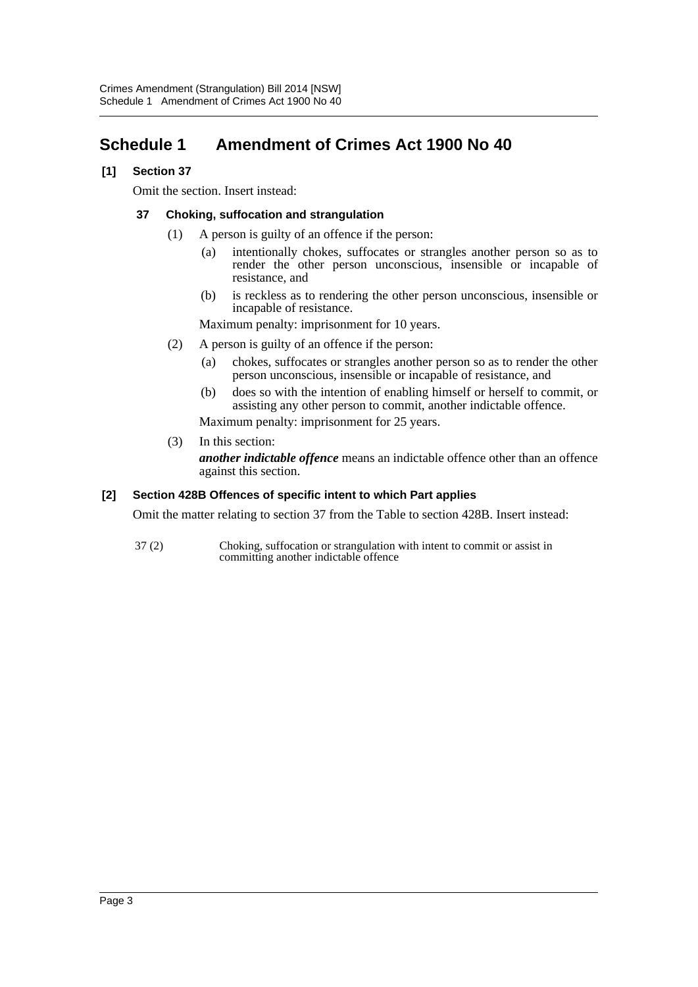# <span id="page-3-0"></span>**Schedule 1 Amendment of Crimes Act 1900 No 40**

#### **[1] Section 37**

Omit the section. Insert instead:

#### **37 Choking, suffocation and strangulation**

- (1) A person is guilty of an offence if the person:
	- (a) intentionally chokes, suffocates or strangles another person so as to render the other person unconscious, insensible or incapable of resistance, and
	- (b) is reckless as to rendering the other person unconscious, insensible or incapable of resistance.

Maximum penalty: imprisonment for 10 years.

- (2) A person is guilty of an offence if the person:
	- (a) chokes, suffocates or strangles another person so as to render the other person unconscious, insensible or incapable of resistance, and
	- (b) does so with the intention of enabling himself or herself to commit, or assisting any other person to commit, another indictable offence.

Maximum penalty: imprisonment for 25 years.

(3) In this section:

*another indictable offence* means an indictable offence other than an offence against this section.

#### **[2] Section 428B Offences of specific intent to which Part applies**

Omit the matter relating to section 37 from the Table to section 428B. Insert instead:

37 (2) Choking, suffocation or strangulation with intent to commit or assist in committing another indictable offence